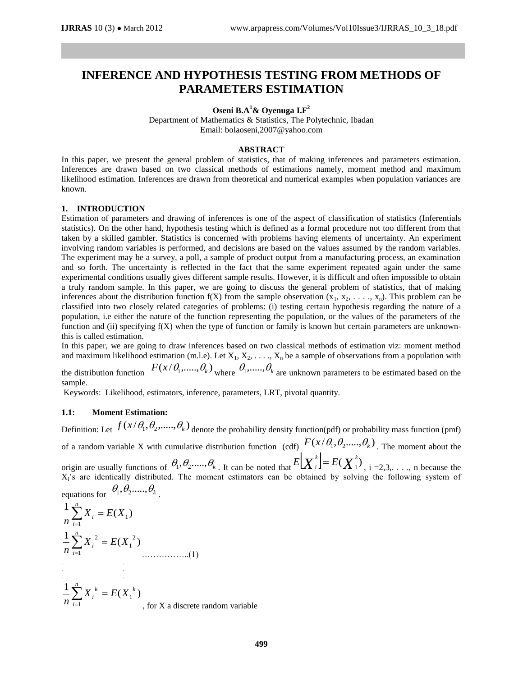# **INFERENCE AND HYPOTHESIS TESTING FROM METHODS OF PARAMETERS ESTIMATION**

**Oseni B.A<sup>1</sup>& Oyenuga I.F<sup>2</sup>**

Department of Mathematics & Statistics, The Polytechnic, Ibadan Email: bolaoseni,2007@yahoo.com

#### **ABSTRACT**

In this paper, we present the general problem of statistics, that of making inferences and parameters estimation. Inferences are drawn based on two classical methods of estimations namely, moment method and maximum likelihood estimation. Inferences are drawn from theoretical and numerical examples when population variances are known.

## **1. INTRODUCTION**

Estimation of parameters and drawing of inferences is one of the aspect of classification of statistics (Inferentials statistics). On the other hand, hypothesis testing which is defined as a formal procedure not too different from that taken by a skilled gambler. Statistics is concerned with problems having elements of uncertainty. An experiment involving random variables is performed, and decisions are based on the values assumed by the random variables. The experiment may be a survey, a poll, a sample of product output from a manufacturing process, an examination and so forth. The uncertainty is reflected in the fact that the same experiment repeated again under the same experimental conditions usually gives different sample results. However, it is difficult and often impossible to obtain a truly random sample. In this paper, we are going to discuss the general problem of statistics, that of making inferences about the distribution function  $f(X)$  from the sample observation  $(x_1, x_2, \ldots, x_n)$ . This problem can be classified into two closely related categories of problems: (i) testing certain hypothesis regarding the nature of a population, i.e either the nature of the function representing the population, or the values of the parameters of the function and (ii) specifying f(X) when the type of function or family is known but certain parameters are unknownthis is called estimation.

In this paper, we are going to draw inferences based on two classical methods of estimation viz: moment method and maximum likelihood estimation (m.l.e). Let  $X_1, X_2, \ldots, X_n$  be a sample of observations from a population with

the distribution function  $F(x/\theta_1, ..., \theta_k)$  where  $\theta_1, ..., \theta_k$  are unknown parameters to be estimated based on the sample.

Keywords: Likelihood, estimators, inference, parameters, LRT, pivotal quantity.

# **1.1: Moment Estimation:**

Definition: Let  $f(x/\theta_1, \theta_2, ..., \theta_k)$  denote the probability density function(pdf) or probability mass function (pmf) of a random variable X with cumulative distribution function (cdf)  $F(x/\theta_1, \theta_2, ..., \theta_k)$ . The moment about the

origin are usually functions of  $\theta_1, \theta_2, ..., \theta_k$ . It can be noted that  $E[X_i^k] = E(X_1^k)$  $E[X_i^k] = E(X_1^k)$ , i =2,3,..., n because the X<sub>i</sub>'s are identically distributed. The moment estimators can be obtained by solving the following system of equations for  $\theta_1, \theta_2, ..., \theta_k$ 

. ( ) 1 1 1 *X E X n n i <sup>i</sup>* ( ) 1 <sup>2</sup> 1 1 2 *X E X n n i <sup>i</sup>* ……………..(1) . . . . . . ( ) 1 1 1 *k n i k X<sup>i</sup> E X n* , for X a discrete random variable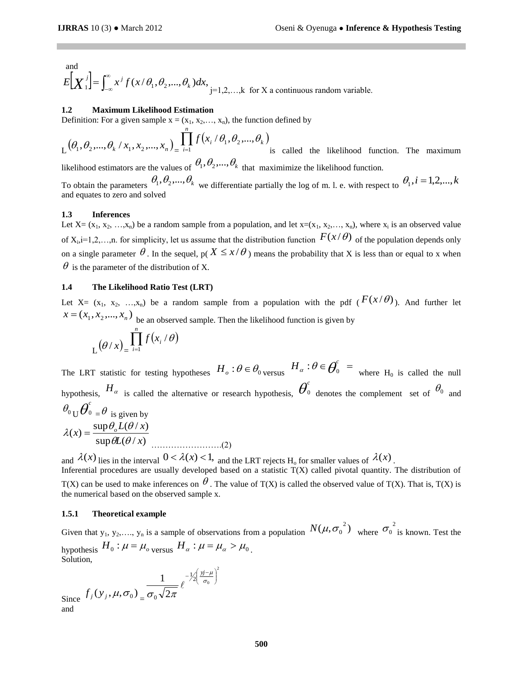and  $\left[ \begin{matrix} X^{\,j} \end{matrix} \right] = \int_{-\infty}^{\infty}$  $E[X_i^j] = \int_{-\infty}^{\infty} x^j f(x/\theta_1, \theta_2, ..., \theta_k) dx$ ,  $j=1,2,...,k$  for X a continuous random variable.

#### **1.2 Maximum Likelihood Estimation**

Definition: For a given sample  $x = (x_1, x_2, \ldots, x_n)$ , the function defined by

$$
L(\theta_1, \theta_2, ..., \theta_k | x_1, x_2, ..., x_n) = \prod_{i=1}^n f(x_i | \theta_1, \theta_2, ..., \theta_k)
$$
 is called the likelihood function. The maximum

likelihood estimators are the values of  $\theta_1, \theta_2, ..., \theta_k$  that maximimize the likelihood function.

To obtain the parameters  $\theta_1, \theta_2, ..., \theta_k$  we differentiate partially the log of m. l. e. with respect to  $\theta_1, i = 1,2,...,k$ and equates to zero and solved

#### **1.3 Inferences**

Let  $X = (x_1, x_2, ..., x_n)$  be a random sample from a population, and let  $x = (x_1, x_2, ..., x_n)$ , where  $x_i$  is an observed value of  $X_i$ ,  $i=1,2,...,n$ . for simplicity, let us assume that the distribution function  $F(x/\theta)$  of the population depends only on a single parameter  $\theta$ . In the sequel,  $p(X \le x/\theta)$  means the probability that X is less than or equal to x when  $\theta$  is the parameter of the distribution of X.

## **1.4 The Likelihood Ratio Test (LRT)**

Let X=  $(x_1, x_2, ..., x_n)$  be a random sample from a population with the pdf  $(F(x/\theta))$ . And further let  $x = (x_1, x_2, ..., x_n)$  be an observed sample. Then the likelihood function is given by

$$
L(\theta/x) = \prod_{i=1}^n f(x_i / \theta)
$$

The LRT statistic for testing hypotheses  $H_o: \theta \in \theta_0$  versus  $H_\alpha: \theta \in \theta_0^c =$  where  $H_0$  is called the null hypothesis,  $H_{\alpha}$  is called the alternative or research hypothesis,  $\theta_{\alpha}^{\circ}$ <sup>0</sup> denotes the complement set of  $\theta_0$  and  $\theta_0$  U $\overline{\theta}_0^c$  $0 = \theta$  is given by  $\sup \theta L(\theta / x)$  $f(x) = \frac{\sup \theta_o L(\theta/x)}{g(x)}$  $L(\theta/x)$  $L(x) = \frac{\sup \theta_o L(\theta / x)}{2\pi}$  $\theta L(\theta$  $\lambda(x) = \frac{\sup \theta_o L(\theta)}{\sum_{i=1}^{n} a_i}$ …………………….(2)

and  $\lambda(x)$  lies in the interval  $0 < \lambda(x) < 1$ , and the LRT rejects H<sub>o</sub> for smaller values of  $\lambda(x)$ .

2

J ℩

 $\frac{y}{\sigma_0}$ 

*yj*

I ∖  $-\frac{1}{2} \left( \frac{y_j -}{\sigma_c} \right)$ μ

1  $-\frac{1}{2} \left( \frac{y-\mu}{\sigma_0} \right)$ 

 $\ell$ 

Inferential procedures are usually developed based on a statistic T(X) called pivotal quantity. The distribution of T(X) can be used to make inferences on  $\theta$ . The value of T(X) is called the observed value of T(X). That is, T(X) is the numerical based on the observed sample x.

#### **1.5.1 Theoretical example**

Given that y<sub>1</sub>, y<sub>2</sub>,..., y<sub>n</sub> is a sample of observations from a population  $N(\mu, \sigma_0^2)$  where  $\sigma_0^2$  is known. Test the hypothesis  $H_0: \mu = \mu_o$ <sub>versus</sub>  $H_\alpha: \mu = \mu_\alpha > \mu_0$ . Solution,

Since  $f_j(y_j, \mu, \sigma_0)$ <sub>=</sub>  $\sqrt{2}$  $\sigma_{0}$   $\sqrt{2\pi}$ 

and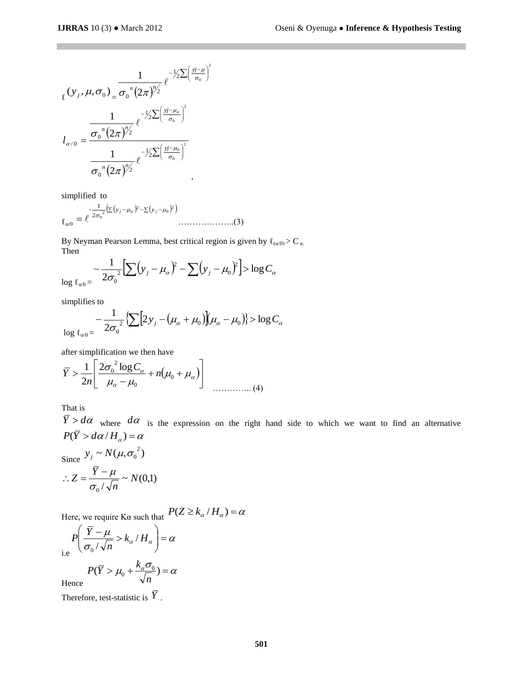$$
\ell(\mathbf{y}_{j}, \mu, \sigma_{0}) = \frac{1}{\sigma_{0}^{n} (2\pi)^{\frac{n}{2}}} e^{-\frac{1}{2} \sum (\frac{y_{j} - \mu}{\sigma_{0}})^{2}}
$$

$$
l_{\alpha/0} = \frac{\frac{1}{\sigma_{0}^{n} (2\pi)^{\frac{n}{2}}}}{\frac{1}{\sigma_{0}^{n} (2\pi)^{\frac{n}{2}}}} e^{-\frac{1}{2} \sum (\frac{y_{j} - \mu_{\alpha}}{\sigma_{0}})^{2}}
$$

$$
\frac{1}{\sigma_{0}^{n} (2\pi)^{\frac{n}{2}}},
$$

simplified to

$$
\varepsilon_{\alpha/0} = e^{-\frac{1}{2\sigma_0^2} (\sum (y_j - \mu_\alpha)^2 - \sum (y_j - \mu_0)^2)}
$$
............(3)

By Neyman Pearson Lemma, best critical region is given by  $\ell_{(\alpha/0)} > C_{\alpha}$ . Then

$$
-\frac{1}{2\sigma_0^2}\Big[\sum_{j} (y_j - \mu_\alpha)^2 - \sum_{j} (y_j - \mu_0)^2\Big] > \log C_\alpha
$$

simplifies to

$$
\frac{1}{\log \ell_{\alpha 0}} = -\frac{1}{2\sigma_0^2} \Bigl\{ \sum \Bigl[ 2y_j - (\mu_\alpha + \mu_0) \Bigr] (\mu_\alpha - \mu_0) \Bigr\} > \log C_\alpha
$$

after simplification we then have

$$
\overline{Y} > \frac{1}{2n} \left[ \frac{2\sigma_0^2 \log C_\alpha}{\mu_\alpha - \mu_0} + n(\mu_0 + \mu_\alpha) \right]
$$
 (4)

That is

 $\overline{Y} > d\alpha$  where  $d\alpha$  is the expression on the right hand side to which we want to find an alternative  $P(\overline{Y} > d\alpha / H_{\alpha}) = \alpha$ 

Since 
$$
y_j \sim N(\mu, \sigma_0^2)
$$

$$
\therefore Z = \frac{\overline{Y} - \mu}{\sigma_0 / \sqrt{n}} \sim N(0,1)
$$

Here, we require K $\alpha$  such that  $P(Z \ge k_{\alpha} / H_{\alpha}) = \alpha$ 

$$
P\left(\frac{\overline{Y} - \mu}{\sigma_0 / \sqrt{n}} > k_\alpha / H_\alpha\right) = \alpha
$$

 $(\overline{Y} > \mu_0 + \frac{k_{\alpha} \sigma_0}{\sqrt{n}}) = \alpha$  $P(\overline{Y} > \mu_0 + \frac{k}{\sigma})$ 

Hence

Therefore, test-statistic is  $\overline{Y}$ .